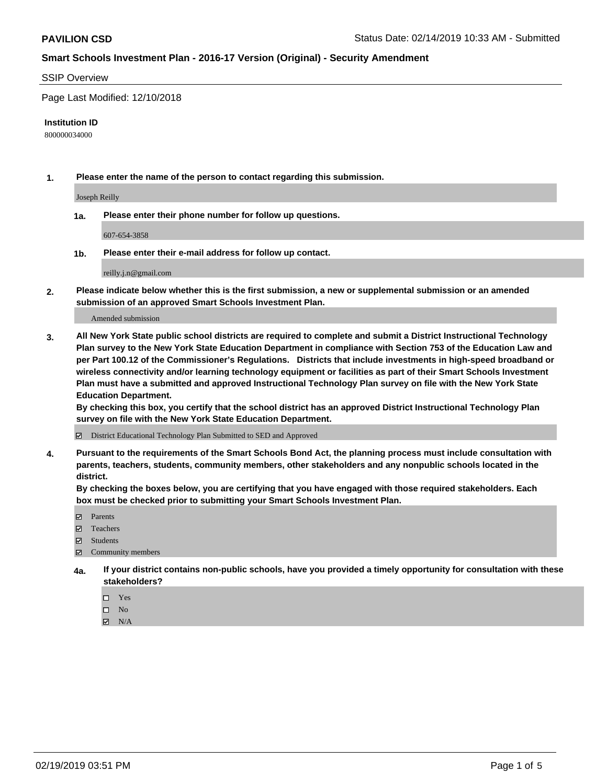#### SSIP Overview

Page Last Modified: 12/10/2018

#### **Institution ID**

800000034000

**1. Please enter the name of the person to contact regarding this submission.**

Joseph Reilly

**1a. Please enter their phone number for follow up questions.**

607-654-3858

**1b. Please enter their e-mail address for follow up contact.**

reilly.j.n@gmail.com

**2. Please indicate below whether this is the first submission, a new or supplemental submission or an amended submission of an approved Smart Schools Investment Plan.**

Amended submission

**3. All New York State public school districts are required to complete and submit a District Instructional Technology Plan survey to the New York State Education Department in compliance with Section 753 of the Education Law and per Part 100.12 of the Commissioner's Regulations. Districts that include investments in high-speed broadband or wireless connectivity and/or learning technology equipment or facilities as part of their Smart Schools Investment Plan must have a submitted and approved Instructional Technology Plan survey on file with the New York State Education Department.** 

**By checking this box, you certify that the school district has an approved District Instructional Technology Plan survey on file with the New York State Education Department.**

District Educational Technology Plan Submitted to SED and Approved

**4. Pursuant to the requirements of the Smart Schools Bond Act, the planning process must include consultation with parents, teachers, students, community members, other stakeholders and any nonpublic schools located in the district.** 

**By checking the boxes below, you are certifying that you have engaged with those required stakeholders. Each box must be checked prior to submitting your Smart Schools Investment Plan.**

- **□** Parents
- Teachers
- Students
- $\boxtimes$  Community members
- **4a. If your district contains non-public schools, have you provided a timely opportunity for consultation with these stakeholders?**
	- $\Box$  Yes
	- $\qquad \qquad$  No
	- $\blacksquare$  N/A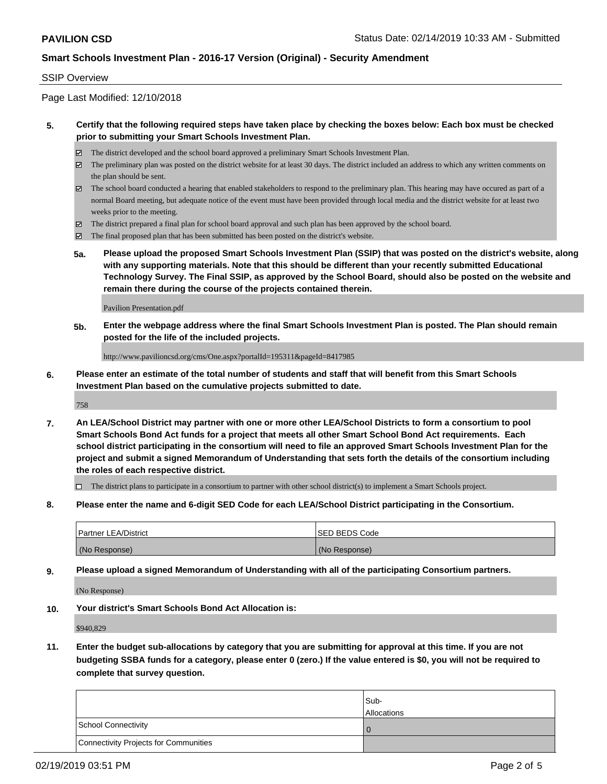#### SSIP Overview

Page Last Modified: 12/10/2018

### **5. Certify that the following required steps have taken place by checking the boxes below: Each box must be checked prior to submitting your Smart Schools Investment Plan.**

- The district developed and the school board approved a preliminary Smart Schools Investment Plan.
- $\boxtimes$  The preliminary plan was posted on the district website for at least 30 days. The district included an address to which any written comments on the plan should be sent.
- $\boxtimes$  The school board conducted a hearing that enabled stakeholders to respond to the preliminary plan. This hearing may have occured as part of a normal Board meeting, but adequate notice of the event must have been provided through local media and the district website for at least two weeks prior to the meeting.
- The district prepared a final plan for school board approval and such plan has been approved by the school board.
- $\boxtimes$  The final proposed plan that has been submitted has been posted on the district's website.
- **5a. Please upload the proposed Smart Schools Investment Plan (SSIP) that was posted on the district's website, along with any supporting materials. Note that this should be different than your recently submitted Educational Technology Survey. The Final SSIP, as approved by the School Board, should also be posted on the website and remain there during the course of the projects contained therein.**

Pavilion Presentation.pdf

**5b. Enter the webpage address where the final Smart Schools Investment Plan is posted. The Plan should remain posted for the life of the included projects.**

http://www.pavilioncsd.org/cms/One.aspx?portalId=195311&pageId=8417985

**6. Please enter an estimate of the total number of students and staff that will benefit from this Smart Schools Investment Plan based on the cumulative projects submitted to date.**

758

**7. An LEA/School District may partner with one or more other LEA/School Districts to form a consortium to pool Smart Schools Bond Act funds for a project that meets all other Smart School Bond Act requirements. Each school district participating in the consortium will need to file an approved Smart Schools Investment Plan for the project and submit a signed Memorandum of Understanding that sets forth the details of the consortium including the roles of each respective district.**

 $\Box$  The district plans to participate in a consortium to partner with other school district(s) to implement a Smart Schools project.

**8. Please enter the name and 6-digit SED Code for each LEA/School District participating in the Consortium.**

| <b>Partner LEA/District</b> | <b>ISED BEDS Code</b> |
|-----------------------------|-----------------------|
| (No Response)               | (No Response)         |

**9. Please upload a signed Memorandum of Understanding with all of the participating Consortium partners.**

(No Response)

**10. Your district's Smart Schools Bond Act Allocation is:**

\$940,829

**11. Enter the budget sub-allocations by category that you are submitting for approval at this time. If you are not budgeting SSBA funds for a category, please enter 0 (zero.) If the value entered is \$0, you will not be required to complete that survey question.**

|                                              | Sub-<br><b>Allocations</b> |
|----------------------------------------------|----------------------------|
| <b>School Connectivity</b>                   |                            |
| <b>Connectivity Projects for Communities</b> |                            |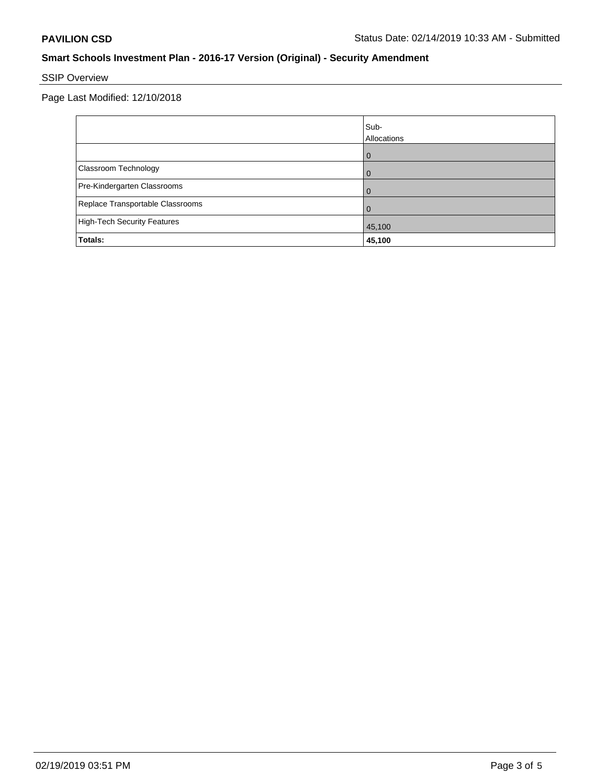# SSIP Overview

Page Last Modified: 12/10/2018

|                                    | Sub-<br>Allocations |
|------------------------------------|---------------------|
|                                    |                     |
| <b>Classroom Technology</b>        |                     |
| Pre-Kindergarten Classrooms        |                     |
| Replace Transportable Classrooms   |                     |
| <b>High-Tech Security Features</b> | 45,100              |
| Totals:                            | 45,100              |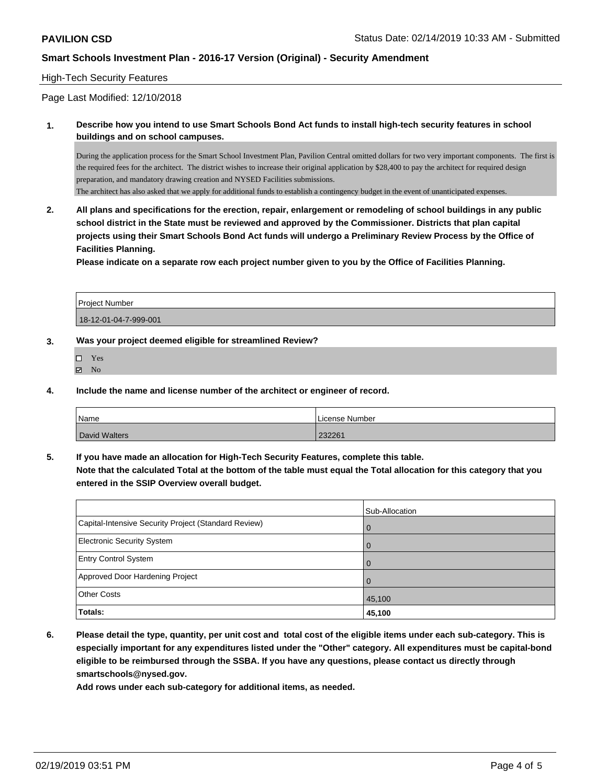### High-Tech Security Features

Page Last Modified: 12/10/2018

**1. Describe how you intend to use Smart Schools Bond Act funds to install high-tech security features in school buildings and on school campuses.**

During the application process for the Smart School Investment Plan, Pavilion Central omitted dollars for two very important components. The first is the required fees for the architect. The district wishes to increase their original application by \$28,400 to pay the architect for required design preparation, and mandatory drawing creation and NYSED Facilities submissions.

The architect has also asked that we apply for additional funds to establish a contingency budget in the event of unanticipated expenses.

**2. All plans and specifications for the erection, repair, enlargement or remodeling of school buildings in any public school district in the State must be reviewed and approved by the Commissioner. Districts that plan capital projects using their Smart Schools Bond Act funds will undergo a Preliminary Review Process by the Office of Facilities Planning.** 

**Please indicate on a separate row each project number given to you by the Office of Facilities Planning.**

| <b>Project Number</b> |  |
|-----------------------|--|
| 18-12-01-04-7-999-001 |  |

## **3. Was your project deemed eligible for streamlined Review?**

- Yes
- $\boxtimes$  No

**4. Include the name and license number of the architect or engineer of record.**

| <sup>'</sup> Name | License Number   |
|-------------------|------------------|
| David Walters     | 22222<br>23ZZ0 I |

**5. If you have made an allocation for High-Tech Security Features, complete this table.**

**Note that the calculated Total at the bottom of the table must equal the Total allocation for this category that you entered in the SSIP Overview overall budget.**

|                                                      | Sub-Allocation |
|------------------------------------------------------|----------------|
| Capital-Intensive Security Project (Standard Review) | l O            |
| Electronic Security System                           | $\Omega$       |
| <b>Entry Control System</b>                          | $\Omega$       |
| Approved Door Hardening Project                      | $\Omega$       |
| <b>Other Costs</b>                                   | 45,100         |
| Totals:                                              | 45,100         |

**6. Please detail the type, quantity, per unit cost and total cost of the eligible items under each sub-category. This is especially important for any expenditures listed under the "Other" category. All expenditures must be capital-bond eligible to be reimbursed through the SSBA. If you have any questions, please contact us directly through smartschools@nysed.gov.**

**Add rows under each sub-category for additional items, as needed.**